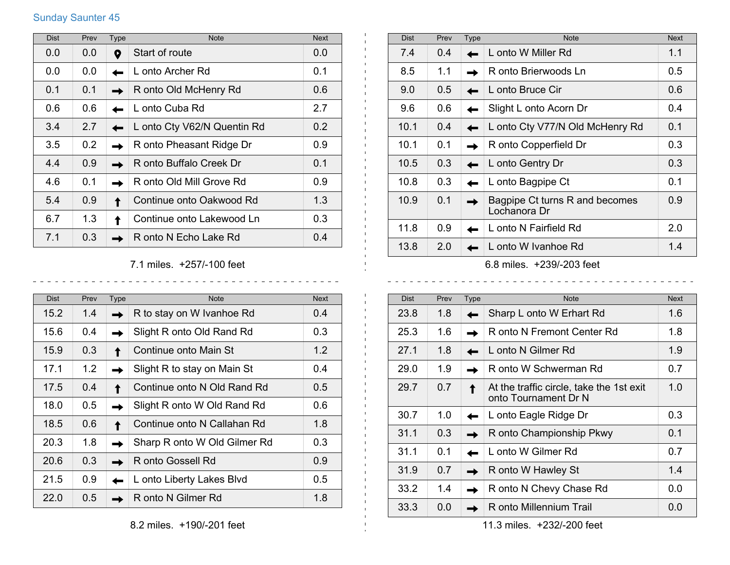## Sunday Saunter 45

| <b>Dist</b> | Prev | <b>Type</b> | <b>Note</b>                 | <b>Next</b> |
|-------------|------|-------------|-----------------------------|-------------|
| 0.0         | 0.0  | Q           | Start of route              | 0.0         |
| 0.0         | 0.0  |             | L onto Archer Rd            | 0.1         |
| 0.1         | 0.1  |             | R onto Old McHenry Rd       | 0.6         |
| 0.6         | 0.6  |             | L onto Cuba Rd              | 2.7         |
| 3.4         | 2.7  |             | L onto Cty V62/N Quentin Rd | 0.2         |
| 3.5         | 0.2  |             | R onto Pheasant Ridge Dr    | 0.9         |
| 4.4         | 0.9  |             | R onto Buffalo Creek Dr     | 0.1         |
| 4.6         | 0.1  |             | R onto Old Mill Grove Rd    | 0.9         |
| 5.4         | 0.9  |             | Continue onto Oakwood Rd    | 1.3         |
| 6.7         | 1.3  |             | Continue onto Lakewood Ln   | 0.3         |
| 7.1         | 0.3  |             | R onto N Echo Lake Rd       | 0.4         |

7.1 miles. +257/-100 feet

 $\sim$  $\sim$   $\mathbf{L}$  $\mathbf{1}$ 

 $\pm 1$ 

<u>. . . . . . . . . . . .</u>

| <b>Dist</b> | Prev | Type | <b>Note</b>                  | <b>Next</b>      |
|-------------|------|------|------------------------------|------------------|
| 15.2        | 1.4  |      | R to stay on W Ivanhoe Rd    | 0.4              |
| 15.6        | 0.4  |      | Slight R onto Old Rand Rd    | 0.3 <sub>2</sub> |
| 15.9        | 0.3  |      | Continue onto Main St        | $1.2^{\circ}$    |
| 17.1        | 1.2  |      | Slight R to stay on Main St  | 0.4              |
| 17.5        | 0.4  |      | Continue onto N Old Rand Rd  | $0.5^{\circ}$    |
| 18.0        | 0.5  |      | Slight R onto W Old Rand Rd  | 0.6              |
| 18.5        | 0.6  |      | Continue onto N Callahan Rd  | 1.8              |
| 20.3        | 1.8  |      | Sharp R onto W Old Gilmer Rd | 0.3              |
| 20.6        | 0.3  |      | R onto Gossell Rd            | 0.9              |
| 21.5        | 0.9  |      | L onto Liberty Lakes Blvd    | $0.5^{\circ}$    |
| 22.0        | 0.5  |      | R onto N Gilmer Rd           | 1.8              |

| <b>Dist</b> | Prev                    | Type | <b>Note</b>                                    | <b>Next</b> |  |
|-------------|-------------------------|------|------------------------------------------------|-------------|--|
| 7.4         | 0.4                     |      | L onto W Miller Rd                             | 1.1         |  |
| 8.5         | 1.1                     |      | R onto Brierwoods Ln                           | 0.5         |  |
| 9.0         | 0.5                     |      | L onto Bruce Cir                               | 0.6         |  |
| 9.6         | 0.6                     |      | Slight L onto Acorn Dr                         | 0.4         |  |
| 10.1        | 0.4                     |      | L onto Cty V77/N Old McHenry Rd                | 0.1         |  |
| 10.1        | 0.1                     |      | R onto Copperfield Dr                          | 0.3         |  |
| 10.5        | 0.3                     |      | L onto Gentry Dr                               | 0.3         |  |
| 10.8        | 0.3                     |      | L onto Bagpipe Ct                              | 0.1         |  |
| 10.9        | 0.1                     |      | Bagpipe Ct turns R and becomes<br>Lochanora Dr | 0.9         |  |
| 11.8        | 0.9                     |      | L onto N Fairfield Rd                          | 2.0         |  |
| 13.8        | 2.0                     |      | L onto W Ivanhoe Rd                            | 1.4         |  |
|             | 6.8 milor 1020/002 foot |      |                                                |             |  |

6.8 miles. +239/-203 feet

| <b>Dist</b> | Prev | <b>Type</b> | <b>Note</b>                                                      | <b>Next</b> |
|-------------|------|-------------|------------------------------------------------------------------|-------------|
| 23.8        | 1.8  |             | Sharp L onto W Erhart Rd                                         | 1.6         |
| 25.3        | 1.6  |             | R onto N Fremont Center Rd                                       | 1.8         |
| 27.1        | 1.8  |             | L onto N Gilmer Rd                                               | 1.9         |
| 29.0        | 1.9  |             | R onto W Schwerman Rd                                            | 0.7         |
| 29.7        | 0.7  |             | At the traffic circle, take the 1st exit<br>onto Tournament Dr N | 1.0         |
| 30.7        | 1.0  |             | L onto Eagle Ridge Dr                                            | 0.3         |
| 31.1        | 0.3  |             | R onto Championship Pkwy                                         | 0.1         |
| 31.1        | 0.1  |             | L onto W Gilmer Rd                                               | 0.7         |
| 31.9        | 0.7  |             | R onto W Hawley St                                               | 1.4         |
| 33.2        | 1.4  |             | R onto N Chevy Chase Rd                                          | 0.0         |
| 33.3        | 0.0  |             | R onto Millennium Trail                                          | 0.0         |

11.3 miles. +232/-200 feet